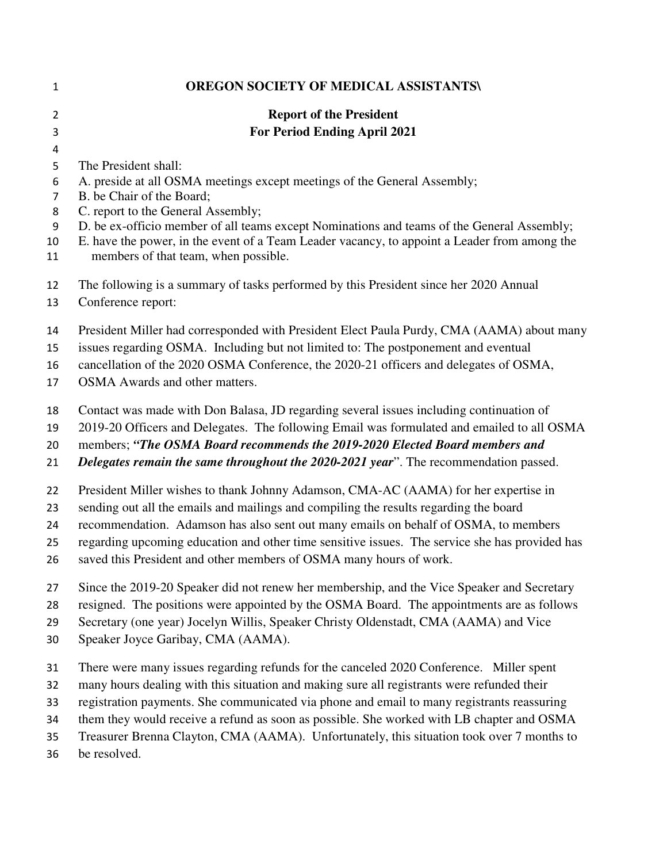| $\mathbf{1}$   | <b>OREGON SOCIETY OF MEDICAL ASSISTANTS\</b>                                                                                                                                                                                       |
|----------------|------------------------------------------------------------------------------------------------------------------------------------------------------------------------------------------------------------------------------------|
| $\overline{2}$ | <b>Report of the President</b>                                                                                                                                                                                                     |
| 3              | <b>For Period Ending April 2021</b>                                                                                                                                                                                                |
| 4              |                                                                                                                                                                                                                                    |
| 5              | The President shall:                                                                                                                                                                                                               |
| 6              | A. preside at all OSMA meetings except meetings of the General Assembly;                                                                                                                                                           |
| 7              | B. be Chair of the Board;                                                                                                                                                                                                          |
| 8              | C. report to the General Assembly;                                                                                                                                                                                                 |
| 9<br>10<br>11  | D. be ex-officio member of all teams except Nominations and teams of the General Assembly;<br>E. have the power, in the event of a Team Leader vacancy, to appoint a Leader from among the<br>members of that team, when possible. |
| 12<br>13       | The following is a summary of tasks performed by this President since her 2020 Annual<br>Conference report:                                                                                                                        |
| 14             | President Miller had corresponded with President Elect Paula Purdy, CMA (AAMA) about many                                                                                                                                          |
| 15             | issues regarding OSMA. Including but not limited to: The postponement and eventual                                                                                                                                                 |
| 16             | cancellation of the 2020 OSMA Conference, the 2020-21 officers and delegates of OSMA,                                                                                                                                              |
| 17             | <b>OSMA</b> Awards and other matters.                                                                                                                                                                                              |
| 18             | Contact was made with Don Balasa, JD regarding several issues including continuation of                                                                                                                                            |
| 19             | 2019-20 Officers and Delegates. The following Email was formulated and emailed to all OSMA                                                                                                                                         |
| 20             | members; "The OSMA Board recommends the 2019-2020 Elected Board members and                                                                                                                                                        |
| 21             | Delegates remain the same throughout the 2020-2021 year". The recommendation passed.                                                                                                                                               |
| 22             | President Miller wishes to thank Johnny Adamson, CMA-AC (AAMA) for her expertise in                                                                                                                                                |
| 23             | sending out all the emails and mailings and compiling the results regarding the board                                                                                                                                              |
| 24             | recommendation. Adamson has also sent out many emails on behalf of OSMA, to members                                                                                                                                                |
| 25             | regarding upcoming education and other time sensitive issues. The service she has provided has                                                                                                                                     |
| 26             | saved this President and other members of OSMA many hours of work.                                                                                                                                                                 |
| 27             | Since the 2019-20 Speaker did not renew her membership, and the Vice Speaker and Secretary                                                                                                                                         |
| 28             | resigned. The positions were appointed by the OSMA Board. The appointments are as follows                                                                                                                                          |
| 29             | Secretary (one year) Jocelyn Willis, Speaker Christy Oldenstadt, CMA (AAMA) and Vice                                                                                                                                               |
| 30             | Speaker Joyce Garibay, CMA (AAMA).                                                                                                                                                                                                 |
| 31             | There were many issues regarding refunds for the canceled 2020 Conference. Miller spent                                                                                                                                            |
| 32             | many hours dealing with this situation and making sure all registrants were refunded their                                                                                                                                         |
| 33             | registration payments. She communicated via phone and email to many registrants reassuring                                                                                                                                         |
| 34             | them they would receive a refund as soon as possible. She worked with LB chapter and OSMA                                                                                                                                          |
| 35             | Treasurer Brenna Clayton, CMA (AAMA). Unfortunately, this situation took over 7 months to                                                                                                                                          |
| 36             | be resolved.                                                                                                                                                                                                                       |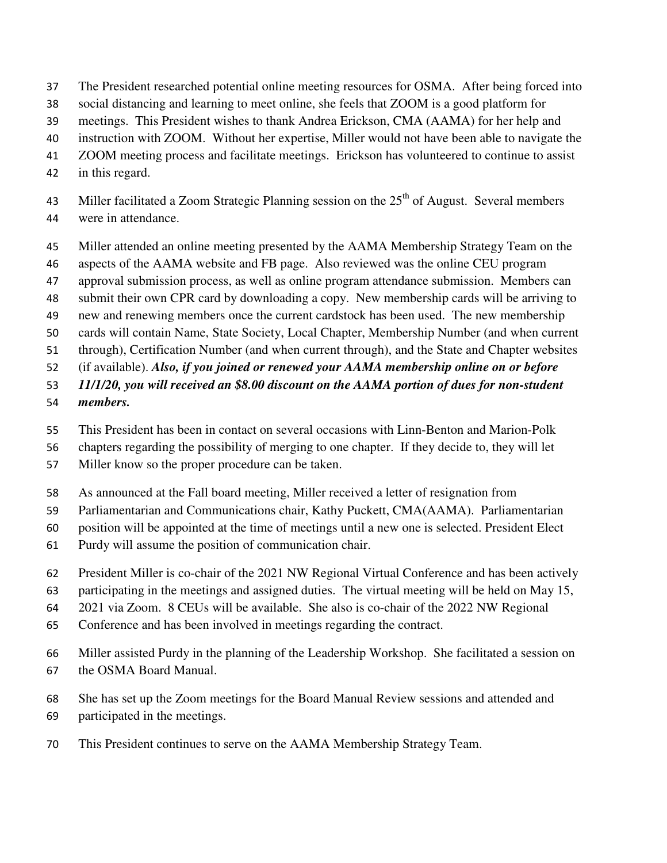- The President researched potential online meeting resources for OSMA. After being forced into
- social distancing and learning to meet online, she feels that ZOOM is a good platform for
- meetings. This President wishes to thank Andrea Erickson, CMA (AAMA) for her help and
- instruction with ZOOM. Without her expertise, Miller would not have been able to navigate the
- ZOOM meeting process and facilitate meetings. Erickson has volunteered to continue to assist
- in this regard.
- 43 Miller facilitated a Zoom Strategic Planning session on the  $25<sup>th</sup>$  of August. Several members were in attendance.
- Miller attended an online meeting presented by the AAMA Membership Strategy Team on the
- aspects of the AAMA website and FB page. Also reviewed was the online CEU program
- approval submission process, as well as online program attendance submission. Members can
- submit their own CPR card by downloading a copy. New membership cards will be arriving to
- new and renewing members once the current cardstock has been used. The new membership
- cards will contain Name, State Society, Local Chapter, Membership Number (and when current
- through), Certification Number (and when current through), and the State and Chapter websites
- (if available). *Also, if you joined or renewed your AAMA membership online on or before*
- *11/1/20, you will received an \$8.00 discount on the AAMA portion of dues for non-student*
- *members.*
- This President has been in contact on several occasions with Linn-Benton and Marion-Polk
- chapters regarding the possibility of merging to one chapter. If they decide to, they will let
- Miller know so the proper procedure can be taken.
- As announced at the Fall board meeting, Miller received a letter of resignation from
- Parliamentarian and Communications chair, Kathy Puckett, CMA(AAMA). Parliamentarian
- position will be appointed at the time of meetings until a new one is selected. President Elect
- Purdy will assume the position of communication chair.
- President Miller is co-chair of the 2021 NW Regional Virtual Conference and has been actively
- participating in the meetings and assigned duties. The virtual meeting will be held on May 15,
- 2021 via Zoom. 8 CEUs will be available. She also is co-chair of the 2022 NW Regional
- Conference and has been involved in meetings regarding the contract.
- Miller assisted Purdy in the planning of the Leadership Workshop. She facilitated a session on the OSMA Board Manual.
- She has set up the Zoom meetings for the Board Manual Review sessions and attended and
- participated in the meetings.
- This President continues to serve on the AAMA Membership Strategy Team.